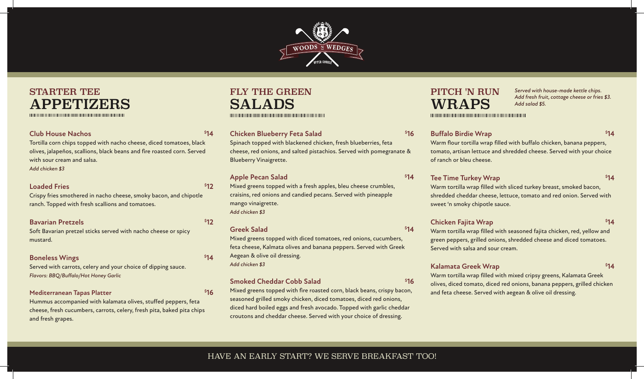

# STARTER TEE **APPETIZERS**

# **Club House Nachos \$**

Tortilla corn chips topped with nacho cheese, diced tomatoes, black olives, jalapeños, scallions, black beans and fire roasted corn. Served with sour cream and salsa. *Add chicken \$3*

### **Loaded Fries**

Crispy fries smothered in nacho cheese, smoky bacon, and chipotle ranch. Topped with fresh scallions and tomatoes.

## **Bavarian Pretzels \$**

Soft Bavarian pretzel sticks served with nacho cheese or spicy mustard.

#### **Boneless Wings \$**

Served with carrots, celery and your choice of dipping sauce. *Flavors: BBQ/Buffalo/Hot Honey Garlic*

#### **Mediterranean Tapas Platter \$**

Hummus accompanied with kalamata olives, stuffed peppers, feta cheese, fresh cucumbers, carrots, celery, fresh pita, baked pita chips and fresh grapes.

# FLY THE GREEN SALADS

### **Chicken Blueberry Feta Salad \$**

Spinach topped with blackened chicken, fresh blueberries, feta cheese, red onions, and salted pistachios. Served with pomegranate & Blueberry Vinaigrette.

### **Apple Pecan Salad \$**

Mixed greens topped with a fresh apples, bleu cheese crumbles, craisins, red onions and candied pecans. Served with pineapple mango vinaigrette. *Add chicken \$3*

#### **Greek Salad \$**

**14**

**12**

\$12

**14**

**16**

Mixed greens topped with diced tomatoes, red onions, cucumbers, feta cheese, Kalmata olives and banana peppers. Served with Greek Aegean & olive oil dressing. *Add chicken \$3*

#### **Smoked Cheddar Cobb Salad \$**

Mixed greens topped with fire roasted corn, black beans, crispy bacon, seasoned grilled smoky chicken, diced tomatoes, diced red onions, diced hard boiled eggs and fresh avocado. Topped with garlic cheddar croutons and cheddar cheese. Served with your choice of dressing.

# PITCH 'N RUN WRAPS

*Served with house-made kettle chips. Add fresh fruit, cottage cheese or fries \$3. Add salad \$5.*

# **Buffalo Birdie Wrap \$**

**16**

 $$14$ 

**14**

**16**

**14**

Warm flour tortilla wrap filled with buffalo chicken, banana peppers, tomato, artisan lettuce and shredded cheese. Served with your choice of ranch or bleu cheese.

### **Tee Time Turkey Wrap 814**

Warm tortilla wrap filled with sliced turkey breast, smoked bacon, shredded cheddar cheese, lettuce, tomato and red onion. Served with sweet 'n smoky chipotle sauce.

# **Chicken Fajita Wrap \$**

**14**

Warm tortilla wrap filled with seasoned fajita chicken, red, yellow and green peppers, grilled onions, shredded cheese and diced tomatoes. Served with salsa and sour cream.

# **Kalamata Greek Wrap \$**

\$14

Warm tortilla wrap filled with mixed cripsy greens, Kalamata Greek olives, diced tomato, diced red onions, banana peppers, grilled chicken and feta cheese. Served with aegean & olive oil dressing.